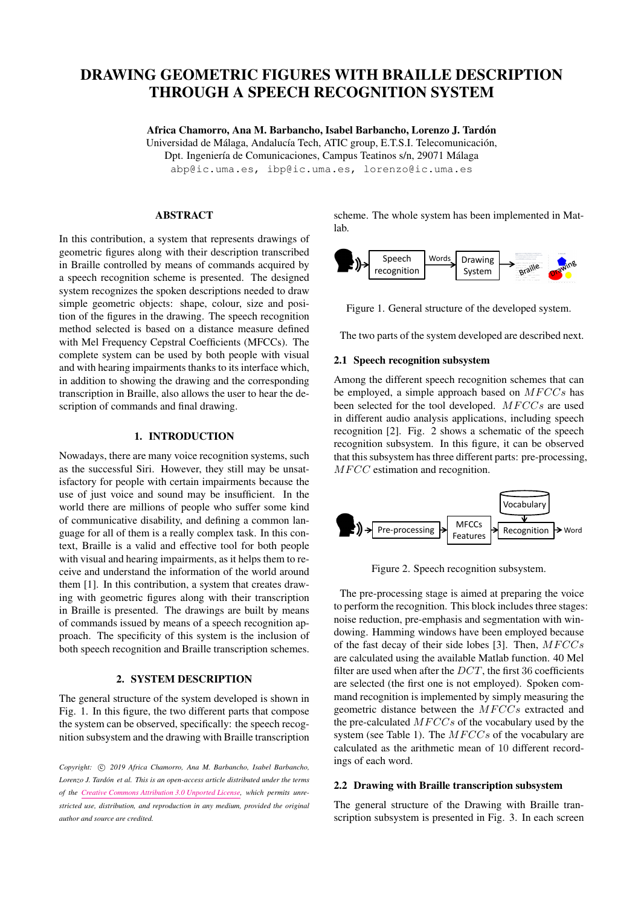# DRAWING GEOMETRIC FIGURES WITH BRAILLE DESCRIPTION THROUGH A SPEECH RECOGNITION SYSTEM

Africa Chamorro, Ana M. Barbancho, Isabel Barbancho, Lorenzo J. Tardon´ Universidad de Málaga, Andalucía Tech, ATIC group, E.T.S.I. Telecomunicación, Dpt. Ingeniería de Comunicaciones, Campus Teatinos s/n, 29071 Málaga [abp@ic.uma.es, ibp@ic.uma.es, lorenzo@ic.uma.es](mailto:author1@smcnetwork.org)

## ABSTRACT

In this contribution, a system that represents drawings of geometric figures along with their description transcribed in Braille controlled by means of commands acquired by a speech recognition scheme is presented. The designed system recognizes the spoken descriptions needed to draw simple geometric objects: shape, colour, size and position of the figures in the drawing. The speech recognition method selected is based on a distance measure defined with Mel Frequency Cepstral Coefficients (MFCCs). The complete system can be used by both people with visual and with hearing impairments thanks to its interface which, in addition to showing the drawing and the corresponding transcription in Braille, also allows the user to hear the description of commands and final drawing.

## 1. INTRODUCTION

Nowadays, there are many voice recognition systems, such as the successful Siri. However, they still may be unsatisfactory for people with certain impairments because the use of just voice and sound may be insufficient. In the world there are millions of people who suffer some kind of communicative disability, and defining a common language for all of them is a really complex task. In this context, Braille is a valid and effective tool for both people with visual and hearing impairments, as it helps them to receive and understand the information of the world around them [\[1\]](#page-1-0). In this contribution, a system that creates drawing with geometric figures along with their transcription in Braille is presented. The drawings are built by means of commands issued by means of a speech recognition approach. The specificity of this system is the inclusion of both speech recognition and Braille transcription schemes.

# 2. SYSTEM DESCRIPTION

The general structure of the system developed is shown in Fig. [1.](#page-0-0) In this figure, the two different parts that compose the system can be observed, specifically: the speech recognition subsystem and the drawing with Braille transcription

Copyright:  $\odot$  2019 Africa Chamorro, Ana M. Barbancho, Isabel Barbancho, *Lorenzo J. Tardon et al. This is an open-access article distributed under the terms ´ of the [Creative Commons Attribution 3.0 Unported License,](http://creativecommons.org/licenses/by/3.0/) which permits unrestricted use, distribution, and reproduction in any medium, provided the original author and source are credited.*

scheme. The whole system has been implemented in Matlab.

<span id="page-0-0"></span>

Figure 1. General structure of the developed system.

The two parts of the system developed are described next.

## 2.1 Speech recognition subsystem

Among the different speech recognition schemes that can be employed, a simple approach based on  $MFCCs$  has been selected for the tool developed.  $MFCCs$  are used in different audio analysis applications, including speech recognition [\[2\]](#page-1-1). Fig. [2](#page-0-1) shows a schematic of the speech recognition subsystem. In this figure, it can be observed that this subsystem has three different parts: pre-processing, MFCC estimation and recognition.

<span id="page-0-1"></span>

Figure 2. Speech recognition subsystem.

The pre-processing stage is aimed at preparing the voice to perform the recognition. This block includes three stages: noise reduction, pre-emphasis and segmentation with windowing. Hamming windows have been employed because of the fast decay of their side lobes [\[3\]](#page-1-2). Then,  $MFCCs$ are calculated using the available Matlab function. 40 Mel filter are used when after the  $DCT$ , the first 36 coefficients are selected (the first one is not employed). Spoken command recognition is implemented by simply measuring the geometric distance between the  $MFCCs$  extracted and the pre-calculated  $MFCCs$  of the vocabulary used by the system (see Table [1\)](#page-1-3). The  $MFCCs$  of the vocabulary are calculated as the arithmetic mean of 10 different recordings of each word.

# 2.2 Drawing with Braille transcription subsystem

The general structure of the Drawing with Braille transcription subsystem is presented in Fig. [3.](#page-1-4) In each screen